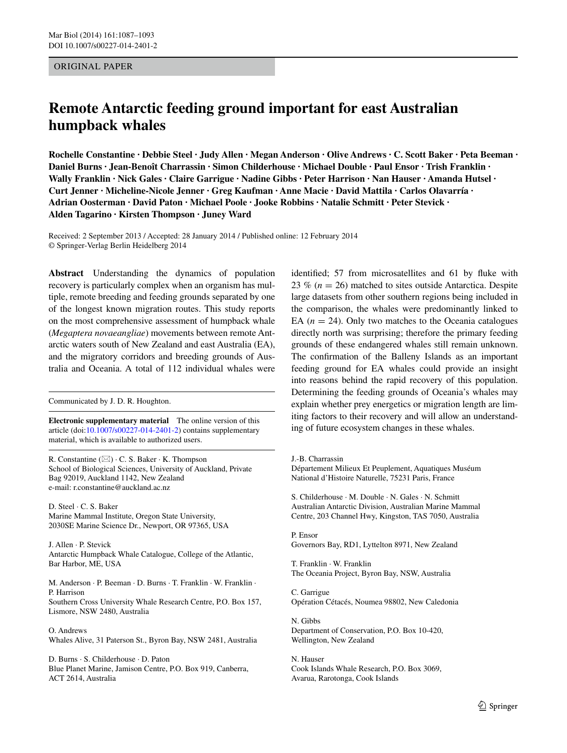## Original Paper

# **Remote Antarctic feeding ground important for east Australian humpback whales**

Rochelle Constantine · Debbie Steel · Judy Allen · Megan Anderson · Olive Andrews · C. Scott Baker · Peta Beeman · **Daniel Burns · Jean‑Benoît Charrassin · Simon Childerhouse · Michael Double · Paul Ensor · Trish Franklin · Wally Franklin · Nick Gales · Claire Garrigue · Nadine Gibbs · Peter Harrison · Nan Hauser · Amanda Hutsel · Curt Jenner · Micheline‑Nicole Jenner · Greg Kaufman · Anne Macie · David Mattila · Carlos Olavarría · Adrian Oosterman · David Paton · Michael Poole · Jooke Robbins · Natalie Schmitt · Peter Stevick · Alden Tagarino · Kirsten Thompson · Juney Ward**

Received: 2 September 2013 / Accepted: 28 January 2014 / Published online: 12 February 2014 © Springer-Verlag Berlin Heidelberg 2014

**Abstract** Understanding the dynamics of population recovery is particularly complex when an organism has multiple, remote breeding and feeding grounds separated by one of the longest known migration routes. This study reports on the most comprehensive assessment of humpback whale (*Megaptera novaeangliae*) movements between remote Antarctic waters south of New Zealand and east Australia (EA), and the migratory corridors and breeding grounds of Australia and Oceania. A total of 112 individual whales were

Communicated by J. D. R. Houghton.

**Electronic supplementary material** The online version of this article (doi[:10.1007/s00227-014-2401-2](http://dx.doi.org/10.1007/s00227-014-2401-2)) contains supplementary material, which is available to authorized users.

R. Constantine  $(\boxtimes) \cdot$  C. S. Baker  $\cdot$  K. Thompson School of Biological Sciences, University of Auckland, Private Bag 92019, Auckland 1142, New Zealand e-mail: r.constantine@auckland.ac.nz

D. Steel · C. S. Baker Marine Mammal Institute, Oregon State University, 2030SE Marine Science Dr., Newport, OR 97365, USA

J. Allen · P. Stevick Antarctic Humpback Whale Catalogue, College of the Atlantic, Bar Harbor, ME, USA

M. Anderson · P. Beeman · D. Burns · T. Franklin · W. Franklin · P. Harrison Southern Cross University Whale Research Centre, P.O. Box 157, Lismore, NSW 2480, Australia

O. Andrews

Whales Alive, 31 Paterson St., Byron Bay, NSW 2481, Australia

D. Burns · S. Childerhouse · D. Paton Blue Planet Marine, Jamison Centre, P.O. Box 919, Canberra, ACT 2614, Australia

identified; 57 from microsatellites and 61 by fluke with 23 % (*n* = 26) matched to sites outside Antarctica. Despite large datasets from other southern regions being included in the comparison, the whales were predominantly linked to EA  $(n = 24)$ . Only two matches to the Oceania catalogues directly north was surprising; therefore the primary feeding grounds of these endangered whales still remain unknown. The confirmation of the Balleny Islands as an important feeding ground for EA whales could provide an insight into reasons behind the rapid recovery of this population. Determining the feeding grounds of Oceania's whales may explain whether prey energetics or migration length are limiting factors to their recovery and will allow an understanding of future ecosystem changes in these whales.

J.-B. Charrassin

Département Milieux Et Peuplement, Aquatiques Muséum National d'Histoire Naturelle, 75231 Paris, France

S. Childerhouse · M. Double · N. Gales · N. Schmitt Australian Antarctic Division, Australian Marine Mammal Centre, 203 Channel Hwy, Kingston, TAS 7050, Australia

P. Ensor Governors Bay, RD1, Lyttelton 8971, New Zealand

T. Franklin · W. Franklin The Oceania Project, Byron Bay, NSW, Australia

C. Garrigue Opération Cétacés, Noumea 98802, New Caledonia

N. Gibbs Department of Conservation, P.O. Box 10-420, Wellington, New Zealand

N. Hauser Cook Islands Whale Research, P.O. Box 3069, Avarua, Rarotonga, Cook Islands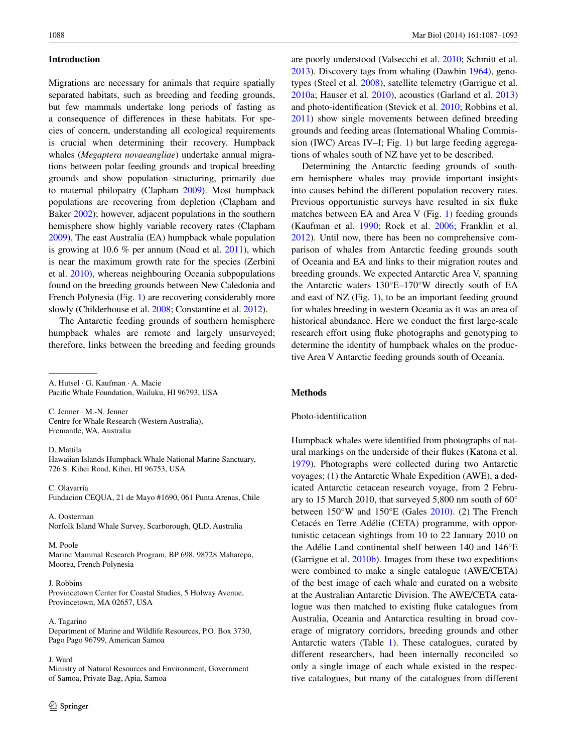## **Introduction**

Migrations are necessary for animals that require spatially separated habitats, such as breeding and feeding grounds, but few mammals undertake long periods of fasting as a consequence of differences in these habitats. For species of concern, understanding all ecological requirements is crucial when determining their recovery. Humpback whales (*Megaptera novaeangliae*) undertake annual migrations between polar feeding grounds and tropical breeding grounds and show population structuring, primarily due to maternal philopatry (Clapham [2009](#page-5-0)). Most humpback populations are recovering from depletion (Clapham and Baker [2002](#page-5-1)); however, adjacent populations in the southern hemisphere show highly variable recovery rates (Clapham [2009\)](#page-5-0). The east Australia (EA) humpback whale population is growing at 10.6 % per annum (Noad et al. [2011\)](#page-5-2), which is near the maximum growth rate for the species (Zerbini et al. [2010\)](#page-6-0), whereas neighbouring Oceania subpopulations found on the breeding grounds between New Caledonia and French Polynesia (Fig. [1](#page-2-0)) are recovering considerably more slowly (Childerhouse et al. [2008](#page-5-3); Constantine et al. [2012\)](#page-5-4).

The Antarctic feeding grounds of southern hemisphere humpback whales are remote and largely unsurveyed; therefore, links between the breeding and feeding grounds

A. Hutsel · G. Kaufman · A. Macie Pacific Whale Foundation, Wailuku, HI 96793, USA

C. Jenner · M.-N. Jenner Centre for Whale Research (Western Australia), Fremantle, WA, Australia

D. Mattila

Hawaiian Islands Humpback Whale National Marine Sanctuary, 726 S. Kihei Road, Kihei, HI 96753, USA

C. Olavarría

Fundacion CEQUA, 21 de Mayo #1690, 061 Punta Arenas, Chile

A. Oosterman

Norfolk Island Whale Survey, Scarborough, QLD, Australia

#### M. Poole

Marine Mammal Research Program, BP 698, 98728 Maharepa, Moorea, French Polynesia

#### J. Robbins

Provincetown Center for Coastal Studies, 5 Holway Avenue, Provincetown, MA 02657, USA

A. Tagarino Department of Marine and Wildlife Resources, P.O. Box 3730, Pago Pago 96799, American Samoa

#### J. Ward

Ministry of Natural Resources and Environment, Government of Samoa, Private Bag, Apia, Samoa

are poorly understood (Valsecchi et al. [2010;](#page-6-1) Schmitt et al. [2013](#page-6-2)). Discovery tags from whaling (Dawbin [1964\)](#page-5-5), genotypes (Steel et al. [2008](#page-6-3)), satellite telemetry (Garrigue et al. [2010a;](#page-5-6) Hauser et al. [2010\)](#page-5-7), acoustics (Garland et al. [2013\)](#page-5-8) and photo-identification (Stevick et al. [2010](#page-6-4); Robbins et al. [2011](#page-5-9)) show single movements between defined breeding grounds and feeding areas (International Whaling Commission (IWC) Areas IV–I; Fig. [1\)](#page-2-0) but large feeding aggregations of whales south of NZ have yet to be described.

Determining the Antarctic feeding grounds of southern hemisphere whales may provide important insights into causes behind the different population recovery rates. Previous opportunistic surveys have resulted in six fluke matches between EA and Area V (Fig. [1](#page-2-0)) feeding grounds (Kaufman et al. [1990](#page-5-10); Rock et al. [2006;](#page-6-5) Franklin et al. [2012](#page-5-11)). Until now, there has been no comprehensive comparison of whales from Antarctic feeding grounds south of Oceania and EA and links to their migration routes and breeding grounds. We expected Antarctic Area V, spanning the Antarctic waters 130°E–170°W directly south of EA and east of NZ (Fig. [1\)](#page-2-0), to be an important feeding ground for whales breeding in western Oceania as it was an area of historical abundance. Here we conduct the first large-scale research effort using fluke photographs and genotyping to determine the identity of humpback whales on the productive Area V Antarctic feeding grounds south of Oceania.

## **Methods**

#### Photo-identification

Humpback whales were identified from photographs of natural markings on the underside of their flukes (Katona et al. [1979](#page-5-12)). Photographs were collected during two Antarctic voyages; (1) the Antarctic Whale Expedition (AWE), a dedicated Antarctic cetacean research voyage, from 2 February to 15 March 2010, that surveyed 5,800 nm south of 60° between 150°W and 150°E (Gales [2010](#page-5-13)). (2) The French Cetacés en Terre Adélie (CETA) programme, with opportunistic cetacean sightings from 10 to 22 January 2010 on the Adélie Land continental shelf between 140 and 146°E (Garrigue et al. [2010b](#page-5-14)). Images from these two expeditions were combined to make a single catalogue (AWE/CETA) of the best image of each whale and curated on a website at the Australian Antarctic Division. The AWE/CETA catalogue was then matched to existing fluke catalogues from Australia, Oceania and Antarctica resulting in broad coverage of migratory corridors, breeding grounds and other Antarctic waters (Table [1\)](#page-2-1). These catalogues, curated by different researchers, had been internally reconciled so only a single image of each whale existed in the respective catalogues, but many of the catalogues from different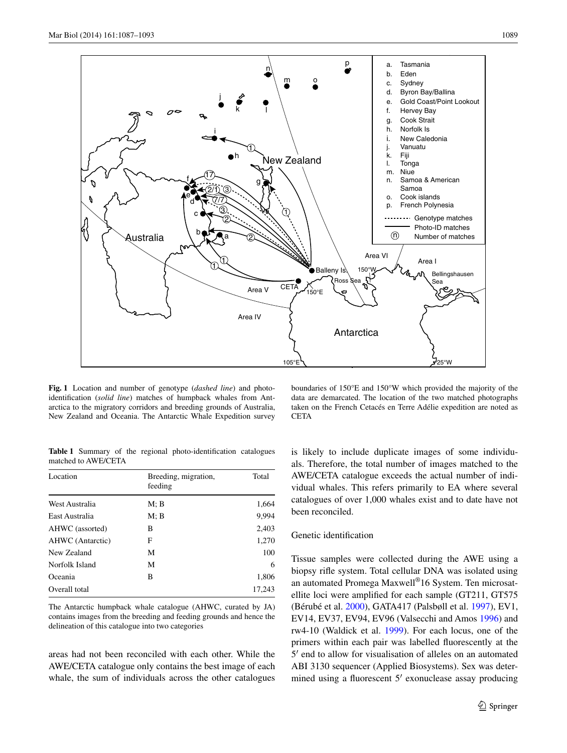

<span id="page-2-0"></span>**Fig. 1** Location and number of genotype (*dashed line*) and photoidentification (*solid line*) matches of humpback whales from Antarctica to the migratory corridors and breeding grounds of Australia, New Zealand and Oceania. The Antarctic Whale Expedition survey

<span id="page-2-1"></span>**Table 1** Summary of the regional photo-identification catalogues matched to AWE/CETA

| Location         | Breeding, migration,<br>feeding | Total  |  |
|------------------|---------------------------------|--------|--|
| West Australia   | M; B                            | 1,664  |  |
| East Australia   | M; B                            | 9,994  |  |
| AHWC (assorted)  | B                               | 2,403  |  |
| AHWC (Antarctic) | F                               | 1,270  |  |
| New Zealand      | М                               | 100    |  |
| Norfolk Island   | М                               | 6      |  |
| Oceania          | B                               | 1,806  |  |
| Overall total    |                                 | 17,243 |  |

The Antarctic humpback whale catalogue (AHWC, curated by JA) contains images from the breeding and feeding grounds and hence the delineation of this catalogue into two categories

areas had not been reconciled with each other. While the AWE/CETA catalogue only contains the best image of each whale, the sum of individuals across the other catalogues

boundaries of 150°E and 150°W which provided the majority of the data are demarcated. The location of the two matched photographs taken on the French Cetacés en Terre Adélie expedition are noted as **CETA** 

is likely to include duplicate images of some individuals. Therefore, the total number of images matched to the AWE/CETA catalogue exceeds the actual number of individual whales. This refers primarily to EA where several catalogues of over 1,000 whales exist and to date have not been reconciled.

# Genetic identification

Tissue samples were collected during the AWE using a biopsy rifle system. Total cellular DNA was isolated using an automated Promega Maxwell®16 System. Ten microsatellite loci were amplified for each sample (GT211, GT575 (Bérubé et al. [2000](#page-5-15)), GATA417 (Palsbøll et al. [1997](#page-5-16)), EV1, EV14, EV37, EV94, EV96 (Valsecchi and Amos [1996\)](#page-6-6) and rw4-10 (Waldick et al. [1999](#page-6-7)). For each locus, one of the primers within each pair was labelled fluorescently at the 5′ end to allow for visualisation of alleles on an automated ABI 3130 sequencer (Applied Biosystems). Sex was determined using a fluorescent 5′ exonuclease assay producing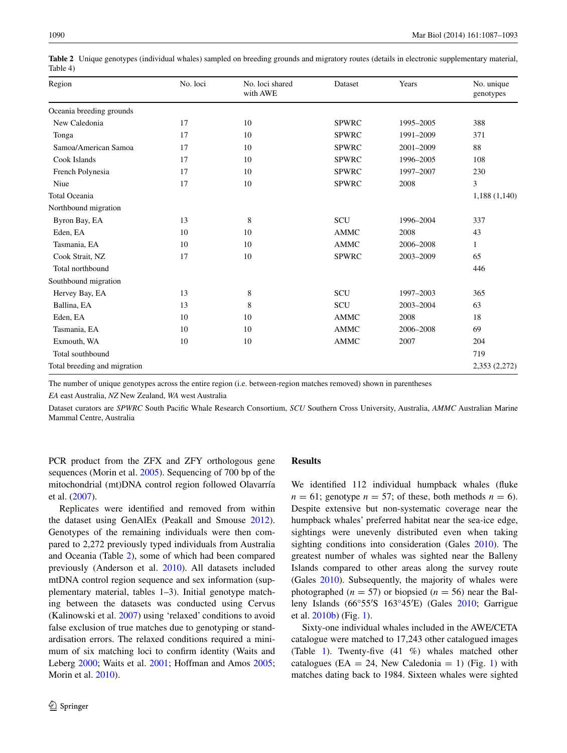| Region                       | No. loci | No. loci shared<br>with AWE | Dataset      | Years     | No. unique<br>genotypes |
|------------------------------|----------|-----------------------------|--------------|-----------|-------------------------|
| Oceania breeding grounds     |          |                             |              |           |                         |
| New Caledonia                | 17       | 10                          | <b>SPWRC</b> | 1995-2005 | 388                     |
| Tonga                        | 17       | 10                          | <b>SPWRC</b> | 1991-2009 | 371                     |
| Samoa/American Samoa         | 17       | 10                          | <b>SPWRC</b> | 2001-2009 | 88                      |
| Cook Islands                 | 17       | 10                          | <b>SPWRC</b> | 1996-2005 | 108                     |
| French Polynesia             | 17       | 10                          | <b>SPWRC</b> | 1997-2007 | 230                     |
| Niue                         | 17       | 10                          | <b>SPWRC</b> | 2008      | 3                       |
| <b>Total Oceania</b>         |          |                             |              |           | 1,188(1,140)            |
| Northbound migration         |          |                             |              |           |                         |
| Byron Bay, EA                | 13       | 8                           | SCU          | 1996-2004 | 337                     |
| Eden, EA                     | 10       | 10                          | <b>AMMC</b>  | 2008      | 43                      |
| Tasmania, EA                 | 10       | 10                          | <b>AMMC</b>  | 2006-2008 | $\mathbf{1}$            |
| Cook Strait, NZ              | 17       | 10                          | <b>SPWRC</b> | 2003-2009 | 65                      |
| Total northbound             |          |                             |              |           | 446                     |
| Southbound migration         |          |                             |              |           |                         |
| Hervey Bay, EA               | 13       | 8                           | SCU          | 1997-2003 | 365                     |
| Ballina, EA                  | 13       | 8                           | SCU          | 2003-2004 | 63                      |
| Eden, EA                     | 10       | 10                          | <b>AMMC</b>  | 2008      | 18                      |
| Tasmania, EA                 | 10       | 10                          | <b>AMMC</b>  | 2006-2008 | 69                      |
| Exmouth, WA                  | 10       | 10                          | <b>AMMC</b>  | 2007      | 204                     |
| Total southbound             |          |                             |              |           | 719                     |
| Total breeding and migration |          |                             |              |           | 2,353 (2,272)           |

<span id="page-3-0"></span>**Table 2** Unique genotypes (individual whales) sampled on breeding grounds and migratory routes (details in electronic supplementary material, Table 4)

The number of unique genotypes across the entire region (i.e. between-region matches removed) shown in parentheses

*EA* east Australia, *NZ* New Zealand, *WA* west Australia

Dataset curators are *SPWRC* South Pacific Whale Research Consortium, *SCU* Southern Cross University, Australia, *AMMC* Australian Marine Mammal Centre, Australia

PCR product from the ZFX and ZFY orthologous gene sequences (Morin et al. [2005](#page-5-17)). Sequencing of 700 bp of the mitochondrial (mt)DNA control region followed Olavarría et al. [\(2007](#page-5-18)).

Replicates were identified and removed from within the dataset using GenAlEx (Peakall and Smouse [2012](#page-5-19)). Genotypes of the remaining individuals were then compared to 2,272 previously typed individuals from Australia and Oceania (Table [2\)](#page-3-0), some of which had been compared previously (Anderson et al. [2010\)](#page-4-0). All datasets included mtDNA control region sequence and sex information (supplementary material, tables 1–3). Initial genotype matching between the datasets was conducted using Cervus (Kalinowski et al. [2007\)](#page-5-20) using 'relaxed' conditions to avoid false exclusion of true matches due to genotyping or standardisation errors. The relaxed conditions required a minimum of six matching loci to confirm identity (Waits and Leberg [2000](#page-6-8); Waits et al. [2001](#page-6-9); Hoffman and Amos [2005](#page-5-21); Morin et al. [2010](#page-5-22)).

#### **Results**

We identified 112 individual humpback whales (fluke  $n = 61$ ; genotype  $n = 57$ ; of these, both methods  $n = 6$ ). Despite extensive but non-systematic coverage near the humpback whales' preferred habitat near the sea-ice edge, sightings were unevenly distributed even when taking sighting conditions into consideration (Gales [2010](#page-5-13)). The greatest number of whales was sighted near the Balleny Islands compared to other areas along the survey route (Gales [2010](#page-5-13)). Subsequently, the majority of whales were photographed ( $n = 57$ ) or biopsied ( $n = 56$ ) near the Balleny Islands (66°55′S 163°45′E) (Gales [2010;](#page-5-13) Garrigue et al. [2010b](#page-5-14)) (Fig. [1\)](#page-2-0).

Sixty-one individual whales included in the AWE/CETA catalogue were matched to 17,243 other catalogued images (Table [1](#page-2-1)). Twenty-five (41 %) whales matched other catalogues (EA = 24, New Caledonia = [1](#page-2-0)) (Fig. 1) with matches dating back to 1984. Sixteen whales were sighted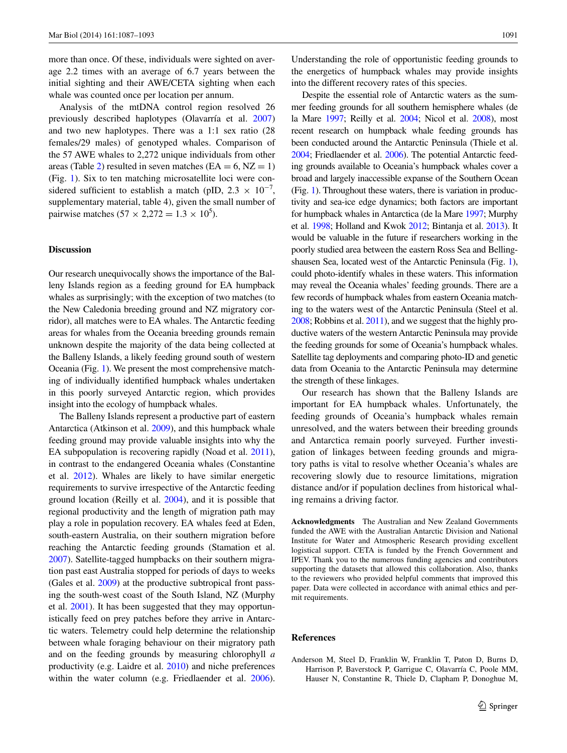more than once. Of these, individuals were sighted on average 2.2 times with an average of 6.7 years between the initial sighting and their AWE/CETA sighting when each whale was counted once per location per annum.

Analysis of the mtDNA control region resolved 26 previously described haplotypes (Olavarría et al. [2007\)](#page-5-18) and two new haplotypes. There was a 1:1 sex ratio (28 females/29 males) of genotyped whales. Comparison of the 57 AWE whales to 2,272 unique individuals from other areas (Table [2\)](#page-3-0) resulted in seven matches ( $EA = 6$ ,  $NZ = 1$ ) (Fig. [1\)](#page-2-0). Six to ten matching microsatellite loci were considered sufficient to establish a match (pID,  $2.3 \times 10^{-7}$ , supplementary material, table 4), given the small number of pairwise matches  $(57 \times 2,272 = 1.3 \times 10^5)$ .

#### **Discussion**

Our research unequivocally shows the importance of the Balleny Islands region as a feeding ground for EA humpback whales as surprisingly; with the exception of two matches (to the New Caledonia breeding ground and NZ migratory corridor), all matches were to EA whales. The Antarctic feeding areas for whales from the Oceania breeding grounds remain unknown despite the majority of the data being collected at the Balleny Islands, a likely feeding ground south of western Oceania (Fig. [1](#page-2-0)). We present the most comprehensive matching of individually identified humpback whales undertaken in this poorly surveyed Antarctic region, which provides insight into the ecology of humpback whales.

The Balleny Islands represent a productive part of eastern Antarctica (Atkinson et al. [2009](#page-5-23)), and this humpback whale feeding ground may provide valuable insights into why the EA subpopulation is recovering rapidly (Noad et al. [2011](#page-5-2)), in contrast to the endangered Oceania whales (Constantine et al. [2012\)](#page-5-4). Whales are likely to have similar energetic requirements to survive irrespective of the Antarctic feeding ground location (Reilly et al. [2004](#page-5-24)), and it is possible that regional productivity and the length of migration path may play a role in population recovery. EA whales feed at Eden, south-eastern Australia, on their southern migration before reaching the Antarctic feeding grounds (Stamation et al. [2007\)](#page-6-10). Satellite-tagged humpbacks on their southern migration past east Australia stopped for periods of days to weeks (Gales et al. [2009\)](#page-5-25) at the productive subtropical front passing the south-west coast of the South Island, NZ (Murphy et al. [2001\)](#page-5-26). It has been suggested that they may opportunistically feed on prey patches before they arrive in Antarctic waters. Telemetry could help determine the relationship between whale foraging behaviour on their migratory path and on the feeding grounds by measuring chlorophyll *a* productivity (e.g. Laidre et al. [2010\)](#page-5-27) and niche preferences within the water column (e.g. Friedlaender et al. [2006](#page-5-28)).

Understanding the role of opportunistic feeding grounds to the energetics of humpback whales may provide insights into the different recovery rates of this species.

Despite the essential role of Antarctic waters as the summer feeding grounds for all southern hemisphere whales (de la Mare [1997](#page-5-29); Reilly et al. [2004](#page-5-24); Nicol et al. [2008\)](#page-5-30), most recent research on humpback whale feeding grounds has been conducted around the Antarctic Peninsula (Thiele et al. [2004](#page-6-11); Friedlaender et al. [2006\)](#page-5-28). The potential Antarctic feeding grounds available to Oceania's humpback whales cover a broad and largely inaccessible expanse of the Southern Ocean (Fig. [1\)](#page-2-0). Throughout these waters, there is variation in productivity and sea-ice edge dynamics; both factors are important for humpback whales in Antarctica (de la Mare [1997](#page-5-29); Murphy et al. [1998](#page-5-31); Holland and Kwok [2012;](#page-5-32) Bintanja et al. [2013](#page-5-33)). It would be valuable in the future if researchers working in the poorly studied area between the eastern Ross Sea and Bellingshausen Sea, located west of the Antarctic Peninsula (Fig. [1\)](#page-2-0), could photo-identify whales in these waters. This information may reveal the Oceania whales' feeding grounds. There are a few records of humpback whales from eastern Oceania matching to the waters west of the Antarctic Peninsula (Steel et al. [2008](#page-6-3); Robbins et al. [2011\)](#page-5-9), and we suggest that the highly productive waters of the western Antarctic Peninsula may provide the feeding grounds for some of Oceania's humpback whales. Satellite tag deployments and comparing photo-ID and genetic data from Oceania to the Antarctic Peninsula may determine the strength of these linkages.

Our research has shown that the Balleny Islands are important for EA humpback whales. Unfortunately, the feeding grounds of Oceania's humpback whales remain unresolved, and the waters between their breeding grounds and Antarctica remain poorly surveyed. Further investigation of linkages between feeding grounds and migratory paths is vital to resolve whether Oceania's whales are recovering slowly due to resource limitations, migration distance and/or if population declines from historical whaling remains a driving factor.

**Acknowledgments** The Australian and New Zealand Governments funded the AWE with the Australian Antarctic Division and National Institute for Water and Atmospheric Research providing excellent logistical support. CETA is funded by the French Government and IPEV. Thank you to the numerous funding agencies and contributors supporting the datasets that allowed this collaboration. Also, thanks to the reviewers who provided helpful comments that improved this paper. Data were collected in accordance with animal ethics and permit requirements.

## **References**

<span id="page-4-0"></span>Anderson M, Steel D, Franklin W, Franklin T, Paton D, Burns D, Harrison P, Baverstock P, Garrigue C, Olavarría C, Poole MM, Hauser N, Constantine R, Thiele D, Clapham P, Donoghue M,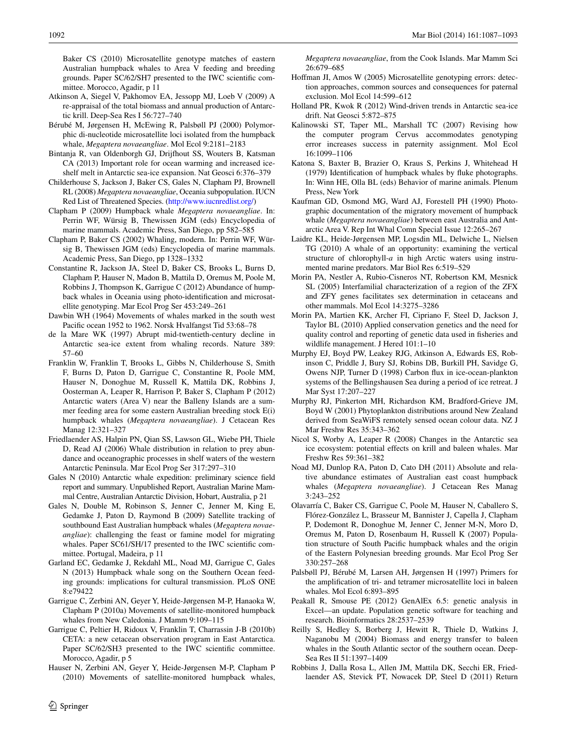Baker CS (2010) Microsatellite genotype matches of eastern Australian humpback whales to Area V feeding and breeding grounds. Paper SC/62/SH7 presented to the IWC scientific committee. Morocco, Agadir, p 11

- <span id="page-5-23"></span>Atkinson A, Siegel V, Pakhomov EA, Jessopp MJ, Loeb V (2009) A re-appraisal of the total biomass and annual production of Antarctic krill. Deep-Sea Res I 56:727–740
- <span id="page-5-15"></span>Bérubé M, Jørgensen H, McEwing R, Palsbøll PJ (2000) Polymorphic di-nucleotide microsatellite loci isolated from the humpback whale, *Megaptera novaeangliae*. Mol Ecol 9:2181–2183
- <span id="page-5-33"></span>Bintanja R, van Oldenborgh GJ, Drijfhout SS, Wouters B, Katsman CA (2013) Important role for ocean warming and increased iceshelf melt in Antarctic sea-ice expansion. Nat Geosci 6:376–379
- <span id="page-5-3"></span>Childerhouse S, Jackson J, Baker CS, Gales N, Clapham PJ, Brownell RL (2008) *Megaptera novaeangliae*, Oceania subpopulation. IUCN Red List of Threatened Species. (<http://www.iucnredlist.org/>)
- <span id="page-5-0"></span>Clapham P (2009) Humpback whale *Megaptera novaeangliae*. In: Perrin WF, Würsig B, Thewissen JGM (eds) Encyclopedia of marine mammals. Academic Press, San Diego, pp 582–585
- <span id="page-5-1"></span>Clapham P, Baker CS (2002) Whaling, modern. In: Perrin WF, Würsig B, Thewissen JGM (eds) Encyclopedia of marine mammals. Academic Press, San Diego, pp 1328–1332
- <span id="page-5-4"></span>Constantine R, Jackson JA, Steel D, Baker CS, Brooks L, Burns D, Clapham P, Hauser N, Madon B, Mattila D, Oremus M, Poole M, Robbins J, Thompson K, Garrigue C (2012) Abundance of humpback whales in Oceania using photo-identification and microsatellite genotyping. Mar Ecol Prog Ser 453:249–261
- <span id="page-5-5"></span>Dawbin WH (1964) Movements of whales marked in the south west Pacific ocean 1952 to 1962. Norsk Hvalfangst Tid 53:68–78
- <span id="page-5-29"></span>de la Mare WK (1997) Abrupt mid-twentieth-century decline in Antarctic sea-ice extent from whaling records. Nature 389: 57–60
- <span id="page-5-11"></span>Franklin W, Franklin T, Brooks L, Gibbs N, Childerhouse S, Smith F, Burns D, Paton D, Garrigue C, Constantine R, Poole MM, Hauser N, Donoghue M, Russell K, Mattila DK, Robbins J, Oosterman A, Leaper R, Harrison P, Baker S, Clapham P (2012) Antarctic waters (Area V) near the Balleny Islands are a summer feeding area for some eastern Australian breeding stock E(i) humpback whales (*Megaptera novaeangliae*). J Cetacean Res Manag 12:321–327
- <span id="page-5-28"></span>Friedlaender AS, Halpin PN, Qian SS, Lawson GL, Wiebe PH, Thiele D, Read AJ (2006) Whale distribution in relation to prey abundance and oceanographic processes in shelf waters of the western Antarctic Peninsula. Mar Ecol Prog Ser 317:297–310
- <span id="page-5-13"></span>Gales N (2010) Antarctic whale expedition: preliminary science field report and summary. Unpublished Report, Australian Marine Mammal Centre, Australian Antarctic Division, Hobart, Australia, p 21
- <span id="page-5-25"></span>Gales N, Double M, Robinson S, Jenner C, Jenner M, King E, Gedamke J, Paton D, Raymond B (2009) Satellite tracking of southbound East Australian humpback whales (*Megaptera novaeangliae*): challenging the feast or famine model for migrating whales. Paper SC61/SH/17 presented to the IWC scientific committee. Portugal, Madeira, p 11
- <span id="page-5-8"></span>Garland EC, Gedamke J, Rekdahl ML, Noad MJ, Garrigue C, Gales N (2013) Humpback whale song on the Southern Ocean feeding grounds: implications for cultural transmission. PLoS ONE 8:e79422
- <span id="page-5-6"></span>Garrigue C, Zerbini AN, Geyer Y, Heide-Jørgensen M-P, Hanaoka W, Clapham P (2010a) Movements of satellite-monitored humpback whales from New Caledonia. J Mamm 9:109–115
- <span id="page-5-14"></span>Garrigue C, Peltier H, Ridoux V, Franklin T, Charrassin J-B (2010b) CETA: a new cetacean observation program in East Antarctica. Paper SC/62/SH3 presented to the IWC scientific committee. Morocco, Agadir, p 5
- <span id="page-5-7"></span>Hauser N, Zerbini AN, Geyer Y, Heide-Jørgensen M-P, Clapham P (2010) Movements of satellite-monitored humpback whales,

*Megaptera novaeangliae*, from the Cook Islands. Mar Mamm Sci 26:679–685

- <span id="page-5-21"></span>Hoffman JI, Amos W (2005) Microsatellite genotyping errors: detection approaches, common sources and consequences for paternal exclusion. Mol Ecol 14:599–612
- <span id="page-5-32"></span>Holland PR, Kwok R (2012) Wind-driven trends in Antarctic sea-ice drift. Nat Geosci 5:872–875
- <span id="page-5-20"></span>Kalinowski ST, Taper ML, Marshall TC (2007) Revising how the computer program Cervus accommodates genotyping error increases success in paternity assignment. Mol Ecol 16:1099–1106
- <span id="page-5-12"></span>Katona S, Baxter B, Brazier O, Kraus S, Perkins J, Whitehead H (1979) Identification of humpback whales by fluke photographs. In: Winn HE, Olla BL (eds) Behavior of marine animals. Plenum Press, New York
- <span id="page-5-10"></span>Kaufman GD, Osmond MG, Ward AJ, Forestell PH (1990) Photographic documentation of the migratory movement of humpback whale (*Megaptera novaeangliae*) between east Australia and Antarctic Area V. Rep Int Whal Comn Special Issue 12:265–267
- <span id="page-5-27"></span>Laidre KL, Heide-Jørgensen MP, Logsdin ML, Delwiche L, Nielsen TG (2010) A whale of an opportunity: examining the vertical structure of chlorophyll-*a* in high Arctic waters using instrumented marine predators. Mar Biol Res 6:519–529
- <span id="page-5-17"></span>Morin PA, Nestler A, Rubio-Cisneros NT, Robertson KM, Mesnick SL (2005) Interfamilial characterization of a region of the ZFX and ZFY genes facilitates sex determination in cetaceans and other mammals. Mol Ecol 14:3275–3286
- <span id="page-5-22"></span>Morin PA, Martien KK, Archer FI, Cipriano F, Steel D, Jackson J, Taylor BL (2010) Applied conservation genetics and the need for quality control and reporting of genetic data used in fisheries and wildlife management. J Hered 101:1–10
- <span id="page-5-31"></span>Murphy EJ, Boyd PW, Leakey RJG, Atkinson A, Edwards ES, Robinson C, Priddle J, Bury SJ, Robins DB, Burkill PH, Savidge G, Owens NJP, Turner D (1998) Carbon flux in ice-ocean-plankton systems of the Bellingshausen Sea during a period of ice retreat. J Mar Syst 17:207–227
- <span id="page-5-26"></span>Murphy RJ, Pinkerton MH, Richardson KM, Bradford-Grieve JM, Boyd W (2001) Phytoplankton distributions around New Zealand derived from SeaWiFS remotely sensed ocean colour data. NZ J Mar Freshw Res 35:343–362
- <span id="page-5-30"></span>Nicol S, Worby A, Leaper R (2008) Changes in the Antarctic sea ice ecosystem: potential effects on krill and baleen whales. Mar Freshw Res 59:361–382
- <span id="page-5-2"></span>Noad MJ, Dunlop RA, Paton D, Cato DH (2011) Absolute and relative abundance estimates of Australian east coast humpback whales (*Megaptera novaeangliae*). J Cetacean Res Manag 3:243–252
- <span id="page-5-18"></span>Olavarría C, Baker CS, Garrigue C, Poole M, Hauser N, Caballero S, Flórez-González L, Brasseur M, Bannister J, Capella J, Clapham P, Dodemont R, Donoghue M, Jenner C, Jenner M-N, Moro D, Oremus M, Paton D, Rosenbaum H, Russell K (2007) Population structure of South Pacific humpback whales and the origin of the Eastern Polynesian breeding grounds. Mar Ecol Prog Ser 330:257–268
- <span id="page-5-16"></span>Palsbøll PJ, Bérubé M, Larsen AH, Jørgensen H (1997) Primers for the amplification of tri- and tetramer microsatellite loci in baleen whales. Mol Ecol 6:893–895
- <span id="page-5-19"></span>Peakall R, Smouse PE (2012) GenAlEx 6.5: genetic analysis in Excel—an update. Population genetic software for teaching and research. Bioinformatics 28:2537–2539
- <span id="page-5-24"></span>Reilly S, Hedley S, Borberg J, Hewitt R, Thiele D, Watkins J, Naganobu M (2004) Biomass and energy transfer to baleen whales in the South Atlantic sector of the southern ocean. Deep-Sea Res II 51:1397–1409
- <span id="page-5-9"></span>Robbins J, Dalla Rosa L, Allen JM, Mattila DK, Secchi ER, Friedlaender AS, Stevick PT, Nowacek DP, Steel D (2011) Return